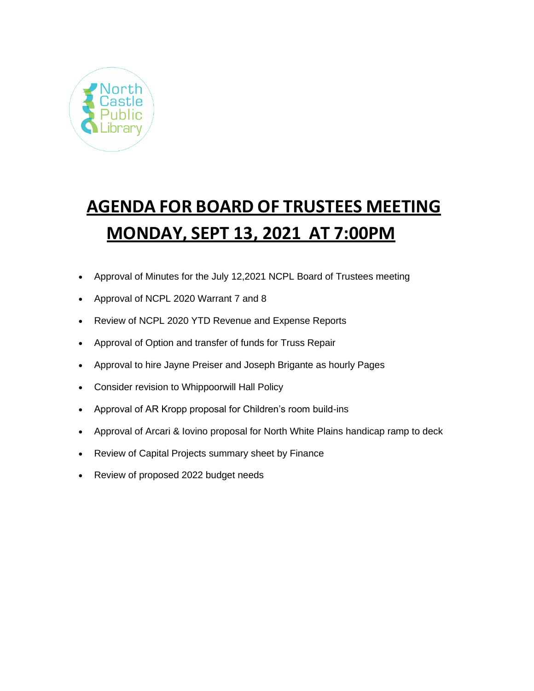

# **AGENDA FOR BOARD OF TRUSTEES MEETING MONDAY, SEPT 13, 2021 AT 7:00PM**

- Approval of Minutes for the July 12,2021 NCPL Board of Trustees meeting
- Approval of NCPL 2020 Warrant 7 and 8
- Review of NCPL 2020 YTD Revenue and Expense Reports
- Approval of Option and transfer of funds for Truss Repair
- Approval to hire Jayne Preiser and Joseph Brigante as hourly Pages
- Consider revision to Whippoorwill Hall Policy
- Approval of AR Kropp proposal for Children's room build-ins
- Approval of Arcari & Iovino proposal for North White Plains handicap ramp to deck
- Review of Capital Projects summary sheet by Finance
- Review of proposed 2022 budget needs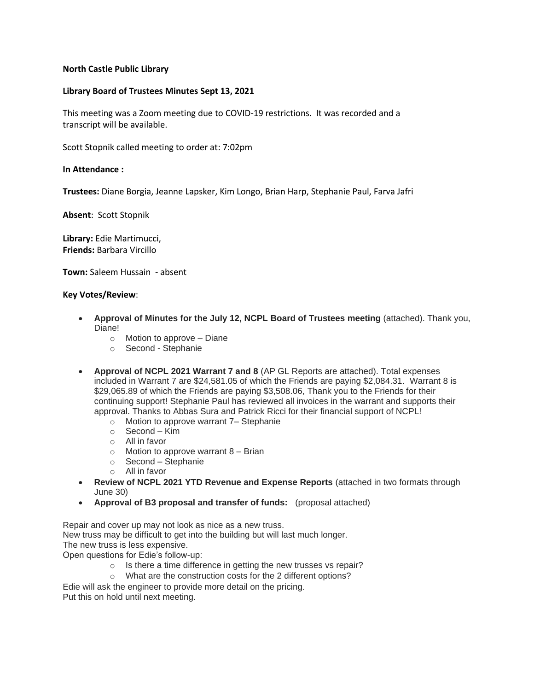# **North Castle Public Library**

# **Library Board of Trustees Minutes Sept 13, 2021**

This meeting was a Zoom meeting due to COVID-19 restrictions. It was recorded and a transcript will be available.

Scott Stopnik called meeting to order at: 7:02pm

## **In Attendance :**

**Trustees:** Diane Borgia, Jeanne Lapsker, Kim Longo, Brian Harp, Stephanie Paul, Farva Jafri

**Absent**: Scott Stopnik

**Library:** Edie Martimucci, **Friends:** Barbara Vircillo

**Town:** Saleem Hussain - absent

#### **Key Votes/Review**:

- **Approval of Minutes for the July 12, NCPL Board of Trustees meeting** (attached). Thank you, Diane!
	- $\circ$  Motion to approve Diane
	- o Second Stephanie
- **Approval of NCPL 2021 Warrant 7 and 8** (AP GL Reports are attached). Total expenses included in Warrant 7 are \$24,581.05 of which the Friends are paying \$2,084.31. Warrant 8 is \$29,065.89 of which the Friends are paying \$3,508.06, Thank you to the Friends for their continuing support! Stephanie Paul has reviewed all invoices in the warrant and supports their approval. Thanks to Abbas Sura and Patrick Ricci for their financial support of NCPL!
	- o Motion to approve warrant 7– Stephanie
	- o Second Kim
	- o All in favor
	- $\circ$  Motion to approve warrant 8 Brian
	- o Second Stephanie
	- o All in favor
- **Review of NCPL 2021 YTD Revenue and Expense Reports** (attached in two formats through June 30)
- **Approval of B3 proposal and transfer of funds:** (proposal attached)

Repair and cover up may not look as nice as a new truss. New truss may be difficult to get into the building but will last much longer. The new truss is less expensive. Open questions for Edie's follow-up:

- o Is there a time difference in getting the new trusses vs repair?
- o What are the construction costs for the 2 different options?
- Edie will ask the engineer to provide more detail on the pricing.

Put this on hold until next meeting.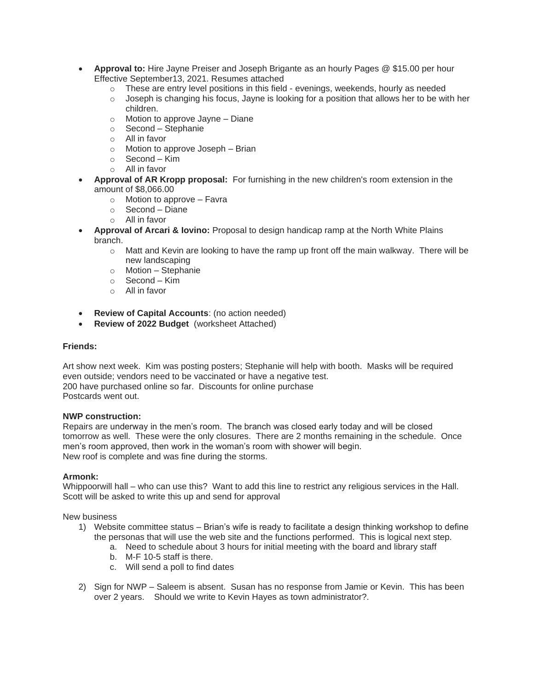- **Approval to:** Hire Jayne Preiser and Joseph Brigante as an hourly Pages @ \$15.00 per hour Effective September13, 2021. Resumes attached
	- $\circ$  These are entry level positions in this field evenings, weekends, hourly as needed
	- $\circ$  Joseph is changing his focus, Jayne is looking for a position that allows her to be with her children.
	- o Motion to approve Jayne Diane
	- o Second Stephanie
	- o All in favor
	- o Motion to approve Joseph Brian
	- o Second Kim
	- o All in favor
- **Approval of AR Kropp proposal:** For furnishing in the new children's room extension in the amount of \$8,066.00
	- o Motion to approve Favra
	- o Second Diane
	- o All in favor
- **Approval of Arcari & Iovino:** Proposal to design handicap ramp at the North White Plains branch.
	- $\circ$  Matt and Kevin are looking to have the ramp up front off the main walkway. There will be new landscaping
	- o Motion Stephanie
	- $\circ$  Second Kim
	- o All in favor
- **Review of Capital Accounts**: (no action needed)
- **Review of 2022 Budget** (worksheet Attached)

## **Friends:**

Art show next week. Kim was posting posters; Stephanie will help with booth. Masks will be required even outside; vendors need to be vaccinated or have a negative test. 200 have purchased online so far. Discounts for online purchase Postcards went out.

#### **NWP construction:**

Repairs are underway in the men's room. The branch was closed early today and will be closed tomorrow as well. These were the only closures. There are 2 months remaining in the schedule. Once men's room approved, then work in the woman's room with shower will begin. New roof is complete and was fine during the storms.

#### **Armonk:**

Whippoorwill hall – who can use this? Want to add this line to restrict any religious services in the Hall. Scott will be asked to write this up and send for approval

New business

- 1) Website committee status Brian's wife is ready to facilitate a design thinking workshop to define the personas that will use the web site and the functions performed. This is logical next step.
	- a. Need to schedule about 3 hours for initial meeting with the board and library staff
	- b. M-F 10-5 staff is there.
	- c. Will send a poll to find dates
- 2) Sign for NWP Saleem is absent. Susan has no response from Jamie or Kevin. This has been over 2 years. Should we write to Kevin Hayes as town administrator?.